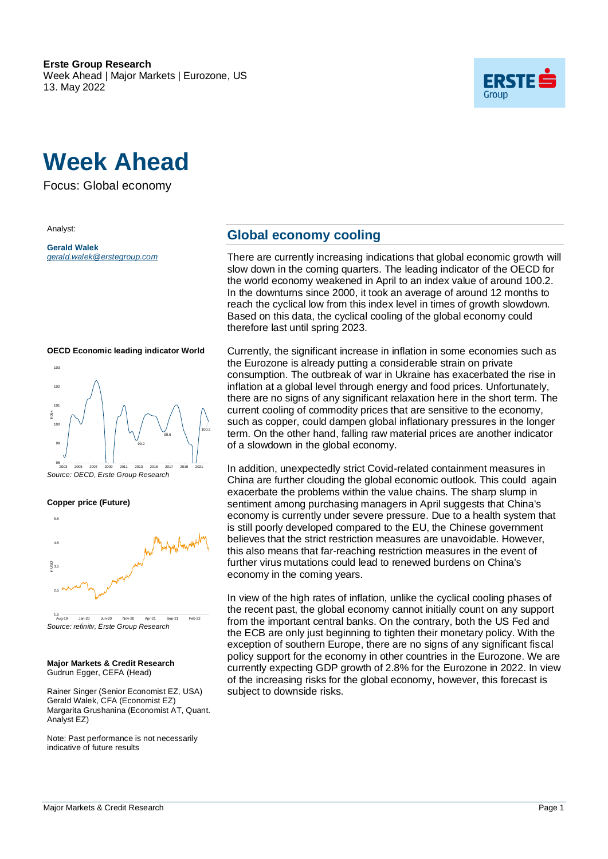

# **Week Ahead**

Focus: Global economy

Analyst:

**Gerald Walek** *gerald.walek@erstegroup.com*



**OECD Economic leading indicator World**

*Source: OECD, Erste Group Research* 99.2 99.6 100.2 98 99 100  $\frac{2}{2}$ <br>  $\frac{20}{20}$ <br>  $\frac{90}{2003}$ <br>  $\frac{2003}{2005}$ <br>  $\frac{2007}{2007}$ <br>  $\frac{2011}{2013}$ <br>  $\frac{2015}{2017}$ <br>  $\frac{2019}{2021}$ <br>  $\frac{2012}{2021}$ 



*Source: refinitv, Erste Group Research* 1.5

#### **Major Markets & Credit Research** Gudrun Egger, CEFA (Head)

 $2.5$   $\sqrt{M}$ 

Rainer Singer (Senior Economist EZ, USA) Gerald Walek, CFA (Economist EZ) Margarita Grushanina (Economist AT, Quant. Analyst EZ)

Note: Past performance is not necessarily indicative of future results

### **Global economy cooling**

There are currently increasing indications that global economic growth will slow down in the coming quarters. The leading indicator of the OECD for the world economy weakened in April to an index value of around 100.2. In the downturns since 2000, it took an average of around 12 months to reach the cyclical low from this index level in times of growth slowdown. Based on this data, the cyclical cooling of the global economy could therefore last until spring 2023.

Currently, the significant increase in inflation in some economies such as the Eurozone is already putting a considerable strain on private consumption. The outbreak of war in Ukraine has exacerbated the rise in inflation at a global level through energy and food prices. Unfortunately, there are no signs of any significant relaxation here in the short term. The current cooling of commodity prices that are sensitive to the economy, such as copper, could dampen global inflationary pressures in the longer term. On the other hand, falling raw material prices are another indicator of a slowdown in the global economy.

In addition, unexpectedly strict Covid-related containment measures in China are further clouding the global economic outlook. This could again exacerbate the problems within the value chains. The sharp slump in sentiment among purchasing managers in April suggests that China's economy is currently under severe pressure. Due to a health system that is still poorly developed compared to the EU, the Chinese government believes that the strict restriction measures are unavoidable. However, this also means that far-reaching restriction measures in the event of further virus mutations could lead to renewed burdens on China's economy in the coming years.

In view of the high rates of inflation, unlike the cyclical cooling phases of the recent past, the global economy cannot initially count on any support from the important central banks. On the contrary, both the US Fed and the ECB are only just beginning to tighten their monetary policy. With the exception of southern Europe, there are no signs of any significant fiscal policy support for the economy in other countries in the Eurozone. We are currently expecting GDP growth of 2.8% for the Eurozone in 2022. In view of the increasing risks for the global economy, however, this forecast is subject to downside risks.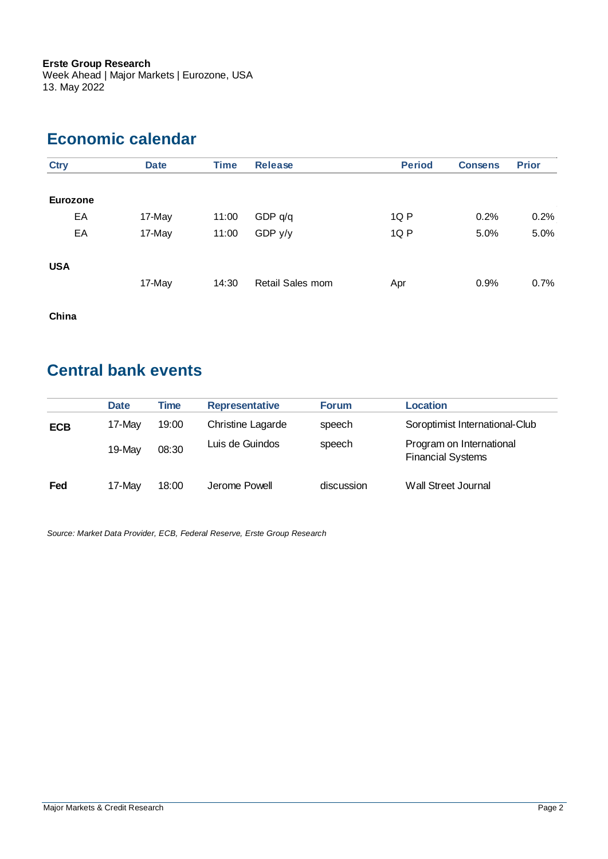Week Ahead | Major Markets | Eurozone, USA 13. May 2022

### **Economic calendar**

| <b>Ctry</b>     | <b>Date</b> | <b>Time</b> | <b>Release</b>   | <b>Period</b> | <b>Consens</b> | <b>Prior</b> |
|-----------------|-------------|-------------|------------------|---------------|----------------|--------------|
| <b>Eurozone</b> |             |             |                  |               |                |              |
| EA              | 17-May      | 11:00       | GDP q/q          | 1Q P          | 0.2%           | 0.2%         |
| EA              | 17-May      | 11:00       | GDP $y/y$        | 1Q P          | 5.0%           | 5.0%         |
| <b>USA</b>      |             |             |                  |               |                |              |
|                 | 17-May      | 14:30       | Retail Sales mom | Apr           | 0.9%           | 0.7%         |

**China**

### **Central bank events**

|            | <b>Date</b> | Time  | <b>Representative</b> | <b>Forum</b> | Location                                             |
|------------|-------------|-------|-----------------------|--------------|------------------------------------------------------|
| <b>ECB</b> | 17-May      | 19:00 | Christine Lagarde     | speech       | Soroptimist International-Club                       |
|            | 19-May      | 08:30 | Luis de Guindos       | speech       | Program on International<br><b>Financial Systems</b> |
| Fed        | 17-May      | 18:00 | Jerome Powell         | discussion   | Wall Street Journal                                  |

*Source: Market Data Provider, ECB, Federal Reserve, Erste Group Research*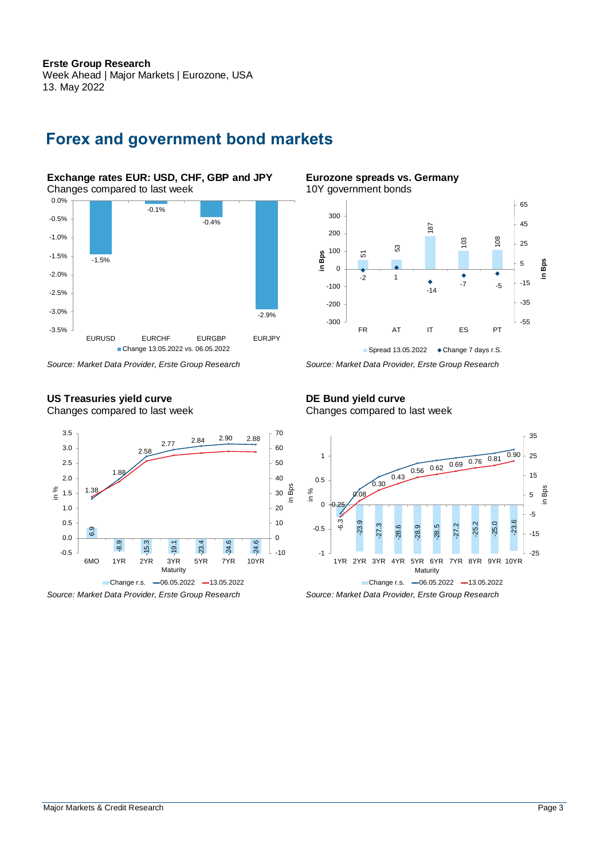#### **Erste Group Research** Week Ahead | Major Markets | Eurozone, USA 13. May 2022

### **Forex and government bond markets**

**Exchange rates EUR: USD, CHF, GBP and JPY** Changes compared to last week



#### **US Treasuries yield curve** Changes compared to last week



**Eurozone spreads vs. Germany** 10Y government bonds



*Source: Market Data Provider, Erste Group Research Source: Market Data Provider, Erste Group Research*

#### **DE Bund yield curve** Changes compared to last week



*Source: Market Data Provider, Erste Group Research Source: Market Data Provider, Erste Group Research*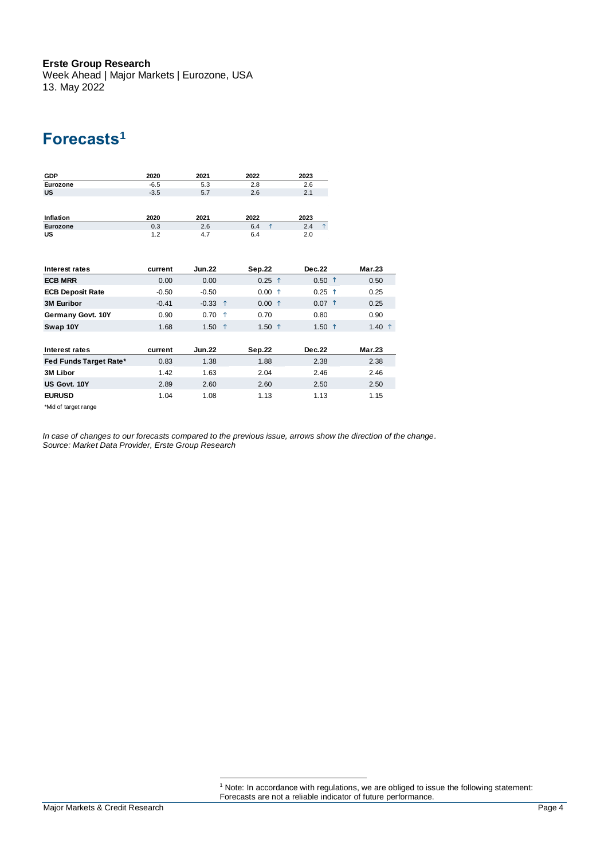Week Ahead | Major Markets | Eurozone, USA 13. May 2022

### **Forecasts<sup>1</sup>**

| <b>GDP</b>              | 2020    | 2021          |            | 2022              | 2023                |                 |
|-------------------------|---------|---------------|------------|-------------------|---------------------|-----------------|
| Eurozone                | $-6.5$  | 5.3           |            | 2.8               | 2.6                 |                 |
| <b>US</b>               | $-3.5$  | 5.7           |            | 2.6               | 2.1                 |                 |
|                         |         |               |            |                   |                     |                 |
| Inflation               | 2020    | 2021          |            | 2022              | 2023                |                 |
| Eurozone                | 0.3     | 2.6           |            | $\uparrow$<br>6.4 | 2.4<br>$\uparrow$   |                 |
| <b>US</b>               | 1.2     | 4.7           |            | 6.4               | 2.0                 |                 |
|                         |         |               |            |                   |                     |                 |
| Interest rates          | current | <b>Jun.22</b> |            | <b>Sep.22</b>     | Dec.22              | Mar.23          |
| <b>ECB MRR</b>          | 0.00    | 0.00          |            | $0.25$ 1          | $0.50$ 1            | 0.50            |
| <b>ECB Deposit Rate</b> | $-0.50$ | $-0.50$       |            | $0.00$ ↑          | $0.25$ ↑            | 0.25            |
| <b>3M Euribor</b>       | $-0.41$ | $-0.33$       | $\uparrow$ | $0.00$ 1          | $0.07$ <sup>↑</sup> | 0.25            |
| Germany Govt. 10Y       | 0.90    | 0.70          | $\uparrow$ | 0.70              | 0.80                | 0.90            |
| Swap 10Y                | 1.68    | 1.50          | $\uparrow$ | 1.50 $\uparrow$   | 1.50 $1$            | 1.40 $\uparrow$ |
|                         |         |               |            |                   |                     |                 |
| Interest rates          | current | <b>Jun.22</b> |            | Sep.22            | <b>Dec.22</b>       | <b>Mar.23</b>   |
| Fed Funds Target Rate*  | 0.83    | 1.38          |            | 1.88              | 2.38                | 2.38            |
| 3M Libor                | 1.42    | 1.63          |            | 2.04              | 2.46                | 2.46            |
| US Govt. 10Y            | 2.89    | 2.60          |            | 2.60              | 2.50                | 2.50            |
| <b>EURUSD</b>           | 1.04    | 1.08          |            | 1.13              | 1.13                | 1.15            |
| *Mid of target range    |         |               |            |                   |                     |                 |

*In case of changes to our forecasts compared to the previous issue, arrows show the direction of the change. Source: Market Data Provider, Erste Group Research*

<sup>&</sup>lt;sup>1</sup> Note: In accordance with regulations, we are obliged to issue the following statement: Forecasts are not a reliable indicator of future performance.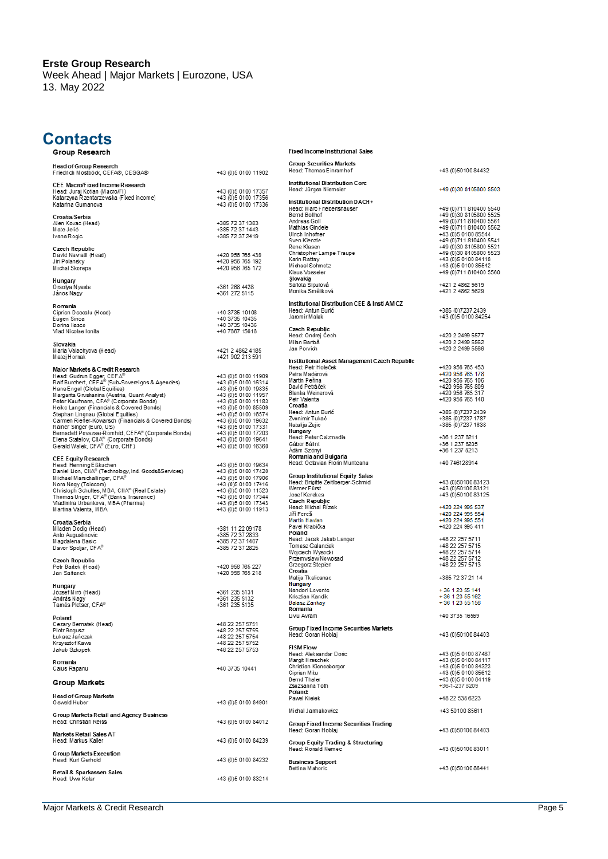Week Ahead | Major Markets | Eurozone, USA 13. May 2022

## **Contacts**

| Group Research                                                                                             |                                                          | <b>Fixed Income Institutional Sales</b>                                         |                                                                                                      |
|------------------------------------------------------------------------------------------------------------|----------------------------------------------------------|---------------------------------------------------------------------------------|------------------------------------------------------------------------------------------------------|
| Head of Group Research<br>Friedrich Mostböck, CEFA®, CESGA®                                                | +43 (0) 5 0100 11902                                     | <b>Group Securities Markets</b><br>Head: Thomas Einramhof                       | +43 (0) 50100 84432                                                                                  |
| CEE Macro/Fixed Income Research<br>Head: Juraj Kotian (Macro/FI)<br>Katarzyna Rzentarzewska (Fixed income) | +43 (0) 5 0100 17357<br>+43 (0) 5 0100 17356             | <b>Institutional Distribution Core</b><br>Head: Jürgen Niemeier                 | +49 (0)30 8105800 5503                                                                               |
| Katarina Gumanova<br>Croatia/Serbia                                                                        | +43 (0) 5 0100 17336                                     | Institutional Distribution DACH+<br>Head: Marc Friebertshäuser<br>Bernd Bollhof | +49 (0) 711 810400 5540<br>+49 (0)30 8105800 5525                                                    |
| Alen Kovac (Head)<br>Mate Jelić<br>Ivana Rogic                                                             | +385 72 37 1383<br>+385 72 37 1443<br>+385 72 37 2419    | Andreas Goll<br>Mathias Gindele<br>Ulrich Inhofner<br>Sven Kienzle              | +49 (0) 711 810400 5561<br>+49 (0) 711 810400 5562<br>+43 (0)5 0100 85544<br>+49 (0) 711 810400 5541 |
| Czech Republic                                                                                             |                                                          | Rene Klasen                                                                     | +49 (0)30 8105800 5521                                                                               |
| David Navratil (Head)<br>Jiri Polansky<br>Michal Skorepa                                                   | +420 956 765 439<br>+420 956 765 192<br>+420 956 765 172 | Christopher Lampe-Traupe<br>Karin Rattay<br>Michael Schmotz<br>Klaus Vosseler   | +49 (0)30 8105800 5523<br>+43 (0) 5 0100 84118<br>+43 (0) 5 0100 85542<br>+49 (0) 711 810400 5560    |
| Hungary<br>Orsolya Nyeste<br>János Nagy                                                                    | +361 268 4428<br>+361 272 5115                           | Slovakia<br>Šarlota Šipulová<br>Monika Směliková                                | +421 2 4862 5619<br>+421 2 4862 5629                                                                 |
|                                                                                                            |                                                          | Institutional Distribution CEE & Insti AM CZ                                    |                                                                                                      |
| Romania<br>Ciprian Dascalu (Head)                                                                          | +40 3735 10108                                           | Head: Antun Burić                                                               | +385 (0) 7237 2439                                                                                   |
| Eugen Sinca<br>Dorina Ilasco                                                                               | +40 3735 10435<br>+40 3735 10436                         | Jaromir Malak                                                                   | +43 (0) 5 0100 84254                                                                                 |
| Vlad Nicolae Ionita                                                                                        | +40 7867 15618                                           | Czech Republic<br>Head: Ondrej Cech<br>Milan Bartoš                             | +420 2 2499 5577<br>+420 2 2499 5562                                                                 |
| Slovakia<br>Maria Valachyova (Head)                                                                        | +421 2 4862 4185                                         | Jan Porvich                                                                     | +420 2 2499 5566                                                                                     |
| Matej Hornak                                                                                               | +421 902 213 591                                         | Institutional Asset Management Czech Republic                                   |                                                                                                      |
| Major Markets & Credit Research                                                                            |                                                          | Head: Petr Holeček                                                              | +420 956 765 453                                                                                     |
| Head: Gudrun Egger, CEFA®                                                                                  | +43 (0) 5 0100 11909                                     | Petra Maděrová<br>Martin Peřina                                                 | +420 956 765 178<br>+420 956 765 106                                                                 |
| Ralf Burchert, CEFA® (Sub-Sovereigns & Agencies)<br>Hans Engel (Global Equities)                           | +43 (0) 5 0100 16314<br>+43 (0) 5 0100 19835             | David Petráček                                                                  | +420 956 765 809                                                                                     |
| Margarita Grushanina (Austria, Quant Analyst)                                                              | +43 (0) 5 0100 11957                                     | Blanka Weinerová<br>Petr Valenta                                                | +420 956 765 317<br>+420 956 765 140                                                                 |
| Peter Kaufmann, CFA® (Corporate Bonds)<br>Heiko Langer (Financials & Covered Bonds)                        | +43 (0) 5 0100 11183<br>+43 (0) 5 0100 85509             | Croatia                                                                         |                                                                                                      |
| Stephan Lingnau (Global Equities)                                                                          | +43 (0) 5 0100 16574                                     | Head: Antun Burić                                                               | +385 (0)7237 2439                                                                                    |
| Carmen Riefler-Kowarsch (Financials & Covered Bonds)                                                       | +43 (0) 5 0100 19632                                     | Zvonimir Tukač<br>Natalija Zujic                                                | +385 (0) 7237 1787<br>+385 (0)7237 1638                                                              |
| Rainer Singer (Euro, US)<br>Bernadett Povazsai-Römhild, CEFA® (Corporate Bonds)                            | +43 (0) 5 0100 17331<br>+43 (0) 5 0100 17203             | Hungary                                                                         |                                                                                                      |
| Elena Statelov, CIIA® (Corporate Bonds)                                                                    | +43 (0) 5 0100 19641                                     | Head: Peter Csizmadia<br>Gábor Bálint                                           | +36 1 237 8211<br>+36 1 237 8205                                                                     |
| Gerald Walek, CFA® (Euro, CHF)                                                                             | +43 (0) 5 0100 16360                                     | Adám Szönyi                                                                     | +36 1 237 8213                                                                                       |
| <b>CEE Equity Research</b>                                                                                 |                                                          | Romania and Bulgaria<br>Head: Octavian Florin Munteanu                          |                                                                                                      |
| Head: Henning Eßkuchen<br>Daniel Lion, CIIA® (Technology, Ind. Goods&Services)                             | +43 (0) 5 0100 19634<br>+43 (0) 5 0100 17420             |                                                                                 | +40 746128914                                                                                        |
| Michael Marschallinger, CFA®                                                                               | +43 (0) 5 0100 17906                                     | <b>Group Institutional Equity Sales</b>                                         |                                                                                                      |
| Nora Nagy (Telecom)                                                                                        | +43 (0)5 0100 17416                                      | Head: Brigitte Zeitlberger-Schmid<br>Werner Fürst                               | +43 (0) 50100 83123<br>+43 (0) 50100 83121                                                           |
| Christoph Schultes, MBA, CIIA® (Real Estate)<br>Thomas Unger, CFA® (Banks, Insurance)                      | +43 (0) 5 0100 11523<br>+43 (0) 5 0100 17344             | Josef Kerekes                                                                   | +43 (0) 50100 83125                                                                                  |
| Vladimira Urbankova, MBA (Pharma)                                                                          | +43 (0) 5 0100 17343                                     | Czech Republic<br>Head: Michal Rizek                                            | +420 224 995 537                                                                                     |
| Martina Valenta, MBA                                                                                       | +43 (0) 5 0100 11913                                     | Jiří Fereš                                                                      | +420 224 995 554                                                                                     |
| Croatia/Serbia                                                                                             |                                                          | Martin Havlan<br>Pavel Krabička                                                 | +420 224 995 551<br>+420 224 995 411                                                                 |
| Mladen Dodig (Head)<br>Anto Augustinovic                                                                   | +381 11 22 09178<br>+385 72 37 2833                      | Poland                                                                          |                                                                                                      |
| Magdalena Basic                                                                                            | +385 72 37 1407                                          | Head: Jacek Jakub Langer                                                        | +48 22 257 5711                                                                                      |
| Davor Spoljar, CFA®                                                                                        | +385 72 37 2825                                          | Tomasz Galanciak<br>Wojciech Wysocki                                            | +48 22 257 5715<br>+48 22 257 5714                                                                   |
| Czech Republic                                                                                             |                                                          | Przemyslaw Nowosad                                                              | +48 22 257 5712                                                                                      |
| Petr Bartek (Head)                                                                                         | +420 956 765 227                                         | Grzegorz Stepien<br>Croatia                                                     | +48 22 257 5713                                                                                      |
| Jan Safanek                                                                                                | +420 956 765 218                                         | Matija Tkalicanac                                                               | +385 72 37 21 14                                                                                     |
| Hungary                                                                                                    |                                                          | Hungary<br>Nandori Levente                                                      | +36 1 23 55 141                                                                                      |
| József Miró (Head)<br>András Nagy                                                                          | +361 235 5131<br>+361 235 5132                           | Krisztian Kandik                                                                | +36 1 23 55 162                                                                                      |
| Tamas Pletser, CFA'                                                                                        | +361 235 5135                                            | Balasz Zankay<br>Romania                                                        | +36 1 23 55 156                                                                                      |
| Poland                                                                                                     |                                                          | Liviu Avram                                                                     | +40 3735 16569                                                                                       |
| Cezary Bernatek (Head)                                                                                     | +48 22 257 5751                                          | Group Fixed Income Securities Markets                                           |                                                                                                      |
| Piotr Bogusz<br>Łukasz Jańczak                                                                             | +48 22 257 5755<br>+48 22 257 5754                       | Head: Goran Hoblaj                                                              | +43 (0)50100 84403                                                                                   |
| Krzysztof Kawa                                                                                             | +48 22 257 5752                                          |                                                                                 |                                                                                                      |
| Jakub Szkopek                                                                                              | +48 22 257 5753                                          | <b>FISM Flow</b><br>Head: Aleksandar Doric                                      | +43 (0) 5 0100 87487                                                                                 |
| Romania                                                                                                    |                                                          | Margit Hraschek                                                                 | +43 (0) 5 0100 84117                                                                                 |
| Caius Rapanu                                                                                               | +40 3735 10441                                           | Christian Kienesberger<br>Ciprian Mitu                                          | +43 (0) 5 0100 84323<br>+43 (0) 5 0100 85612                                                         |
| Group Markets                                                                                              |                                                          | Bernd Thaler<br>Zsuzsanna Toth<br>Poland:                                       | +43 (0) 5 0100 84119<br>+36-1-237 8209                                                               |
| Head of Group Markets<br>O swald Huber                                                                     | +43 (0) 5 0100 84901                                     | Pawel Kielek                                                                    | +48 22 538 6223                                                                                      |
| Group Markets Retail and Agency Business<br>Head: Christian Reiss                                          | +43 (0) 5 0100 84012                                     | Michal Jarmakowicz                                                              | +43 50100 85611                                                                                      |
| Markets Retail Sales AT                                                                                    |                                                          | Group Fixed Income Securities Trading<br>Head: Goran Hoblaj                     | +43 (0) 50100 84403                                                                                  |
| Head: Markus Kaller                                                                                        | +43 (0) 5 0100 84239                                     | Group Equity Trading & Structuring<br>Head: Ronald Nemec                        | +43 (0)50100 83011                                                                                   |
| Group Markets Execution<br>Head: Kurt Gerhold                                                              | +43 (0) 5 0100 84232                                     | <b>Business Support</b><br>Bettina Mahoric                                      | +43 (0)50100 86441                                                                                   |
| Retail & Sparkassen Sales<br>Head: Uwe Kolar                                                               | +43 (0) 5 0100 83214                                     |                                                                                 |                                                                                                      |